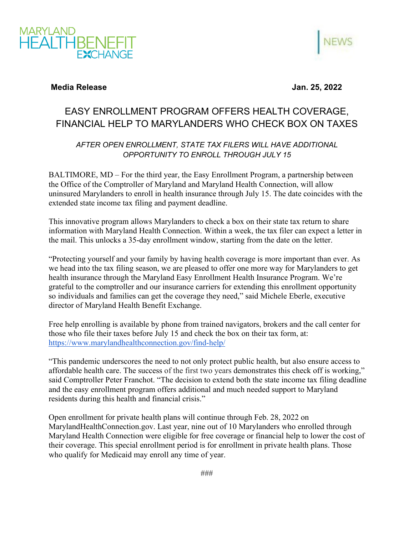



## **Media Release Jan. 25, 2022**

## EASY ENROLLMENT PROGRAM OFFERS HEALTH COVERAGE, FINANCIAL HELP TO MARYLANDERS WHO CHECK BOX ON TAXES

## *AFTER OPEN ENROLLMENT, STATE TAX FILERS WILL HAVE ADDITIONAL OPPORTUNITY TO ENROLL THROUGH JULY 15*

BALTIMORE, MD – For the third year, the Easy Enrollment Program, a partnership between the Office of the Comptroller of Maryland and Maryland Health Connection, will allow uninsured Marylanders to enroll in health insurance through July 15. The date coincides with the extended state income tax filing and payment deadline.

This innovative program allows Marylanders to check a box on their state tax return to share information with Maryland Health Connection. Within a week, the tax filer can expect a letter in the mail. This unlocks a 35-day enrollment window, starting from the date on the letter.

"Protecting yourself and your family by having health coverage is more important than ever. As we head into the tax filing season, we are pleased to offer one more way for Marylanders to get health insurance through the Maryland Easy Enrollment Health Insurance Program. We're grateful to the comptroller and our insurance carriers for extending this enrollment opportunity so individuals and families can get the coverage they need," said Michele Eberle, executive director of Maryland Health Benefit Exchange.

Free help enrolling is available by phone from trained navigators, brokers and the call center for those who file their taxes before July 15 and check the box on their tax form, at: <https://www.marylandhealthconnection.gov/find-help/>

"This pandemic underscores the need to not only protect public health, but also ensure access to affordable health care. The success of the first two years demonstrates this check off is working," said Comptroller Peter Franchot. "The decision to extend both the state income tax filing deadline and the easy enrollment program offers additional and much needed support to Maryland residents during this health and financial crisis."

Open enrollment for private health plans will continue through Feb. 28, 2022 on MarylandHealthConnection.gov. Last year, nine out of 10 Marylanders who enrolled through Maryland Health Connection were eligible for free coverage or financial help to lower the cost of their coverage. This special enrollment period is for enrollment in private health plans. Those who qualify for Medicaid may enroll any time of year.